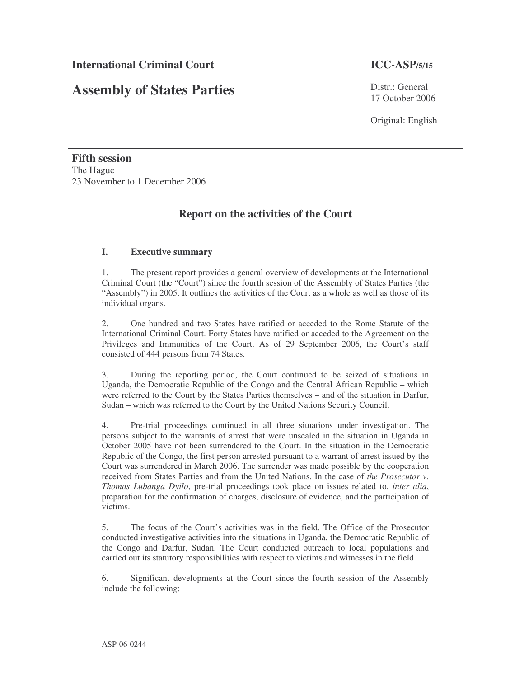# **Assembly of States Parties**

Distr · General 17 October 2006

Original: English

**Fifth session** The Hague 23 November to 1 December 2006

## **Report on the activities of the Court**

## **I. Executive summary**

1. The present report provides a general overview of developments at the International Criminal Court (the "Court") since the fourth session of the Assembly of States Parties (the "Assembly") in 2005. It outlines the activities of the Court as a whole as well as those of its individual organs.

2. One hundred and two States have ratified or acceded to the Rome Statute of the International Criminal Court. Forty States have ratified or acceded to the Agreement on the Privileges and Immunities of the Court. As of 29 September 2006, the Court's staff consisted of 444 persons from 74 States.

3. During the reporting period, the Court continued to be seized of situations in Uganda, the Democratic Republic of the Congo and the Central African Republic – which were referred to the Court by the States Parties themselves – and of the situation in Darfur, Sudan – which was referred to the Court by the United Nations Security Council.

4. Pre-trial proceedings continued in all three situations under investigation. The persons subject to the warrants of arrest that were unsealed in the situation in Uganda in October 2005 have not been surrendered to the Court. In the situation in the Democratic Republic of the Congo, the first person arrested pursuant to a warrant of arrest issued by the Court was surrendered in March 2006. The surrender was made possible by the cooperation received from States Parties and from the United Nations. In the case of *the Prosecutor v. Thomas Lubanga Dyilo*, pre-trial proceedings took place on issues related to, *inter alia*, preparation for the confirmation of charges, disclosure of evidence, and the participation of victims.

5. The focus of the Court's activities was in the field. The Office of the Prosecutor conducted investigative activities into the situations in Uganda, the Democratic Republic of the Congo and Darfur, Sudan. The Court conducted outreach to local populations and carried out its statutory responsibilities with respect to victims and witnesses in the field.

6. Significant developments at the Court since the fourth session of the Assembly include the following: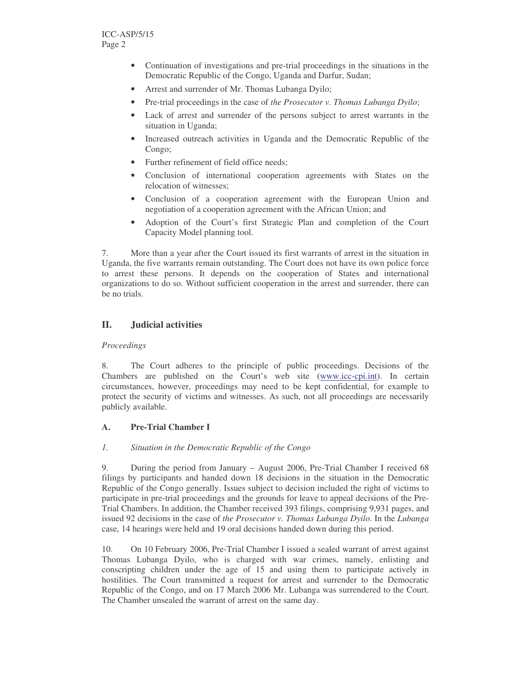- Continuation of investigations and pre-trial proceedings in the situations in the Democratic Republic of the Congo, Uganda and Darfur, Sudan;
- Arrest and surrender of Mr. Thomas Lubanga Dyilo;
- Pre-trial proceedings in the case of *the Prosecutor v. Thomas Lubanga Dyilo*;
- Lack of arrest and surrender of the persons subject to arrest warrants in the situation in Uganda;
- Increased outreach activities in Uganda and the Democratic Republic of the Congo;
- Further refinement of field office needs:
- Conclusion of international cooperation agreements with States on the relocation of witnesses;
- Conclusion of a cooperation agreement with the European Union and negotiation of a cooperation agreement with the African Union; and
- Adoption of the Court's first Strategic Plan and completion of the Court Capacity Model planning tool.

7. More than a year after the Court issued its first warrants of arrest in the situation in Uganda, the five warrants remain outstanding. The Court does not have its own police force to arrest these persons. It depends on the cooperation of States and international organizations to do so. Without sufficient cooperation in the arrest and surrender, there can be no trials.

## **II. Judicial activities**

#### *Proceedings*

8. The Court adheres to the principle of public proceedings. Decisions of the Chambers are published on the Court's web site (www.icc-cpi.int). In certain circumstances, however, proceedings may need to be kept confidential, for example to protect the security of victims and witnesses. As such, not all proceedings are necessarily publicly available.

#### **A. Pre-Trial Chamber I**

#### *1. Situation in the Democratic Republic of the Congo*

9. During the period from January – August 2006, Pre-Trial Chamber I received 68 filings by participants and handed down 18 decisions in the situation in the Democratic Republic of the Congo generally. Issues subject to decision included the right of victims to participate in pre-trial proceedings and the grounds for leave to appeal decisions of the Pre-Trial Chambers. In addition, the Chamber received 393 filings, comprising 9,931 pages, and issued 92 decisions in the case of *the Prosecutor v. Thomas Lubanga Dyilo*. In the *Lubanga* case, 14 hearings were held and 19 oral decisions handed down during this period.

10. On 10 February 2006, Pre-Trial Chamber I issued a sealed warrant of arrest against Thomas Lubanga Dyilo, who is charged with war crimes, namely, enlisting and conscripting children under the age of 15 and using them to participate actively in hostilities. The Court transmitted a request for arrest and surrender to the Democratic Republic of the Congo, and on 17 March 2006 Mr. Lubanga was surrendered to the Court. The Chamber unsealed the warrant of arrest on the same day.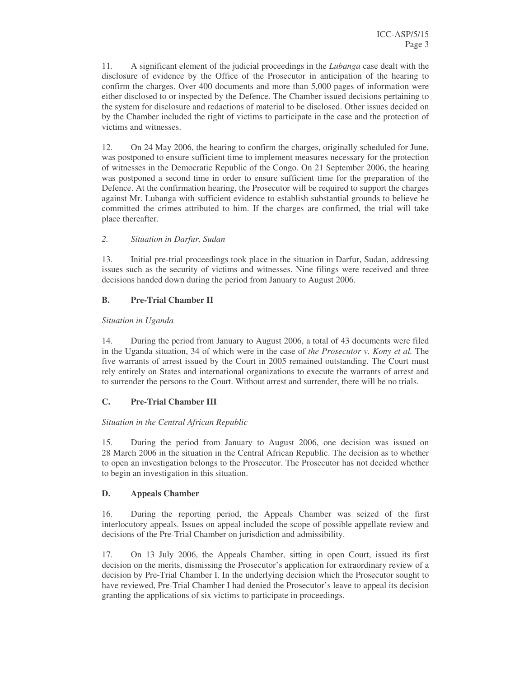11. A significant element of the judicial proceedings in the *Lubanga* case dealt with the disclosure of evidence by the Office of the Prosecutor in anticipation of the hearing to confirm the charges. Over 400 documents and more than 5,000 pages of information were either disclosed to or inspected by the Defence. The Chamber issued decisions pertaining to the system for disclosure and redactions of material to be disclosed. Other issues decided on by the Chamber included the right of victims to participate in the case and the protection of victims and witnesses.

12. On 24 May 2006, the hearing to confirm the charges, originally scheduled for June, was postponed to ensure sufficient time to implement measures necessary for the protection of witnesses in the Democratic Republic of the Congo. On 21 September 2006, the hearing was postponed a second time in order to ensure sufficient time for the preparation of the Defence. At the confirmation hearing, the Prosecutor will be required to support the charges against Mr. Lubanga with sufficient evidence to establish substantial grounds to believe he committed the crimes attributed to him. If the charges are confirmed, the trial will take place thereafter.

## *2. Situation in Darfur, Sudan*

13. Initial pre-trial proceedings took place in the situation in Darfur, Sudan, addressing issues such as the security of victims and witnesses. Nine filings were received and three decisions handed down during the period from January to August 2006.

## **B. Pre-Trial Chamber II**

#### *Situation in Uganda*

14. During the period from January to August 2006, a total of 43 documents were filed in the Uganda situation, 34 of which were in the case of *the Prosecutor v. Kony et al.* The five warrants of arrest issued by the Court in 2005 remained outstanding. The Court must rely entirely on States and international organizations to execute the warrants of arrest and to surrender the persons to the Court. Without arrest and surrender, there will be no trials.

## **C. Pre-Trial Chamber III**

## *Situation in the Central African Republic*

15. During the period from January to August 2006, one decision was issued on 28 March 2006 in the situation in the Central African Republic. The decision as to whether to open an investigation belongs to the Prosecutor. The Prosecutor has not decided whether to begin an investigation in this situation.

## **D. Appeals Chamber**

16. During the reporting period, the Appeals Chamber was seized of the first interlocutory appeals. Issues on appeal included the scope of possible appellate review and decisions of the Pre-Trial Chamber on jurisdiction and admissibility.

17. On 13 July 2006, the Appeals Chamber, sitting in open Court, issued its first decision on the merits, dismissing the Prosecutor's application for extraordinary review of a decision by Pre-Trial Chamber I. In the underlying decision which the Prosecutor sought to have reviewed, Pre-Trial Chamber I had denied the Prosecutor's leave to appeal its decision granting the applications of six victims to participate in proceedings.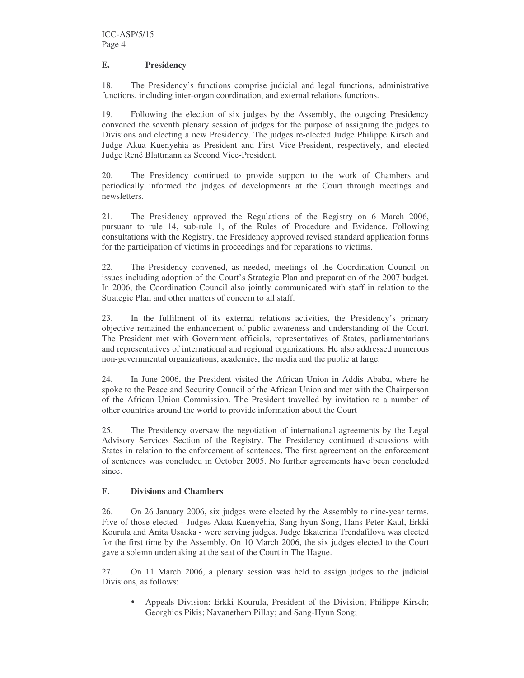#### **E. Presidency**

18. The Presidency's functions comprise judicial and legal functions, administrative functions, including inter-organ coordination, and external relations functions.

19. Following the election of six judges by the Assembly, the outgoing Presidency convened the seventh plenary session of judges for the purpose of assigning the judges to Divisions and electing a new Presidency. The judges re-elected Judge Philippe Kirsch and Judge Akua Kuenyehia as President and First Vice-President, respectively, and elected Judge René Blattmann as Second Vice-President.

20. The Presidency continued to provide support to the work of Chambers and periodically informed the judges of developments at the Court through meetings and newsletters.

21. The Presidency approved the Regulations of the Registry on 6 March 2006, pursuant to rule 14, sub-rule 1, of the Rules of Procedure and Evidence. Following consultations with the Registry, the Presidency approved revised standard application forms for the participation of victims in proceedings and for reparations to victims.

22. The Presidency convened, as needed, meetings of the Coordination Council on issues including adoption of the Court's Strategic Plan and preparation of the 2007 budget. In 2006, the Coordination Council also jointly communicated with staff in relation to the Strategic Plan and other matters of concern to all staff.

23. In the fulfilment of its external relations activities, the Presidency's primary objective remained the enhancement of public awareness and understanding of the Court. The President met with Government officials, representatives of States, parliamentarians and representatives of international and regional organizations. He also addressed numerous non-governmental organizations, academics, the media and the public at large.

24. In June 2006, the President visited the African Union in Addis Ababa, where he spoke to the Peace and Security Council of the African Union and met with the Chairperson of the African Union Commission. The President travelled by invitation to a number of other countries around the world to provide information about the Court

25. The Presidency oversaw the negotiation of international agreements by the Legal Advisory Services Section of the Registry. The Presidency continued discussions with States in relation to the enforcement of sentences**.** The first agreement on the enforcement of sentences was concluded in October 2005. No further agreements have been concluded since.

#### **F. Divisions and Chambers**

26. On 26 January 2006, six judges were elected by the Assembly to nine-year terms. Five of those elected - Judges Akua Kuenyehia, Sang-hyun Song, Hans Peter Kaul, Erkki Kourula and Anita Usacka - were serving judges. Judge Ekaterina Trendafilova was elected for the first time by the Assembly. On 10 March 2006, the six judges elected to the Court gave a solemn undertaking at the seat of the Court in The Hague.

27. On 11 March 2006, a plenary session was held to assign judges to the judicial Divisions, as follows:

 Appeals Division: Erkki Kourula, President of the Division; Philippe Kirsch; Georghios Pikis; Navanethem Pillay; and Sang-Hyun Song;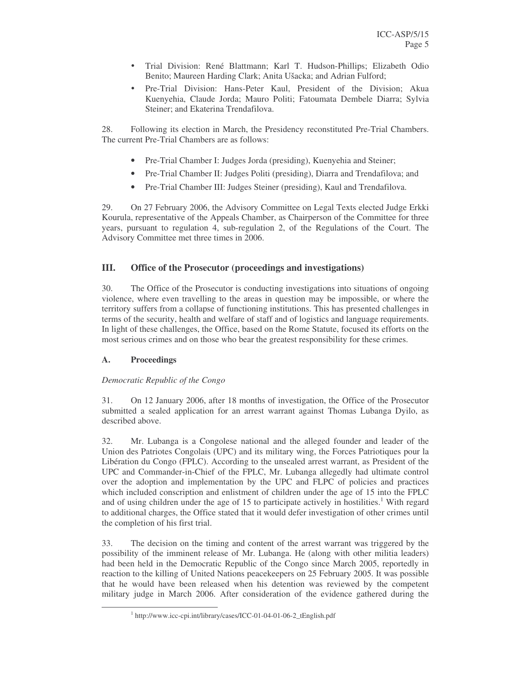- Trial Division: René Blattmann; Karl T. Hudson-Phillips; Elizabeth Odio Benito; Maureen Harding Clark; Anita Ušacka; and Adrian Fulford;
- Pre-Trial Division: Hans-Peter Kaul, President of the Division; Akua Kuenyehia, Claude Jorda; Mauro Politi; Fatoumata Dembele Diarra; Sylvia Steiner; and Ekaterina Trendafilova.

28. Following its election in March, the Presidency reconstituted Pre-Trial Chambers. The current Pre-Trial Chambers are as follows:

- Pre-Trial Chamber I: Judges Jorda (presiding), Kuenyehia and Steiner;
- Pre-Trial Chamber II: Judges Politi (presiding), Diarra and Trendafilova; and
- Pre-Trial Chamber III: Judges Steiner (presiding), Kaul and Trendafilova.

29. On 27 February 2006, the Advisory Committee on Legal Texts elected Judge Erkki Kourula, representative of the Appeals Chamber, as Chairperson of the Committee for three years, pursuant to regulation 4, sub-regulation 2, of the Regulations of the Court. The Advisory Committee met three times in 2006.

## **III. Office of the Prosecutor (proceedings and investigations)**

30. The Office of the Prosecutor is conducting investigations into situations of ongoing violence, where even travelling to the areas in question may be impossible, or where the territory suffers from a collapse of functioning institutions. This has presented challenges in terms of the security, health and welfare of staff and of logistics and language requirements. In light of these challenges, the Office, based on the Rome Statute, focused its efforts on the most serious crimes and on those who bear the greatest responsibility for these crimes.

#### **A. Proceedings**

#### *Democratic Republic of the Congo*

31. On 12 January 2006, after 18 months of investigation, the Office of the Prosecutor submitted a sealed application for an arrest warrant against Thomas Lubanga Dyilo, as described above.

32. Mr. Lubanga is a Congolese national and the alleged founder and leader of the Union des Patriotes Congolais (UPC) and its military wing, the Forces Patriotiques pour la Libération du Congo (FPLC). According to the unsealed arrest warrant, as President of the UPC and Commander-in-Chief of the FPLC, Mr. Lubanga allegedly had ultimate control over the adoption and implementation by the UPC and FLPC of policies and practices which included conscription and enlistment of children under the age of 15 into the FPLC and of using children under the age of 15 to participate actively in hostilities.<sup>1</sup> With regard to additional charges, the Office stated that it would defer investigation of other crimes until the completion of his first trial.

33. The decision on the timing and content of the arrest warrant was triggered by the possibility of the imminent release of Mr. Lubanga. He (along with other militia leaders) had been held in the Democratic Republic of the Congo since March 2005, reportedly in reaction to the killing of United Nations peacekeepers on 25 February 2005. It was possible that he would have been released when his detention was reviewed by the competent military judge in March 2006. After consideration of the evidence gathered during the

<sup>&</sup>lt;sup>1</sup> http://www.icc-cpi.int/library/cases/ICC-01-04-01-06-2\_tEnglish.pdf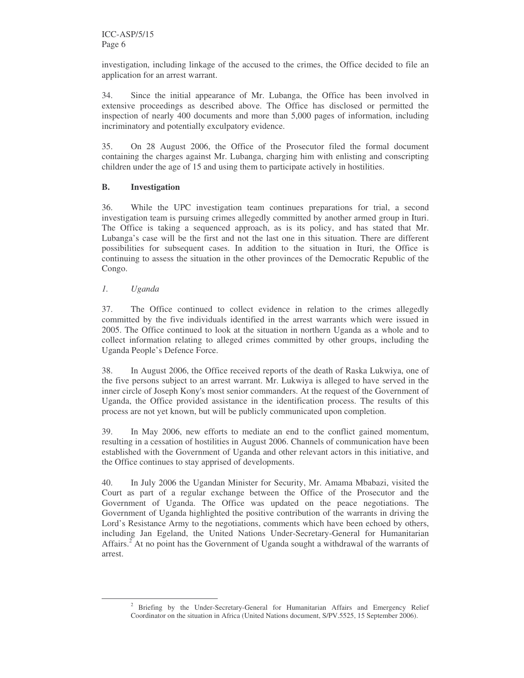investigation, including linkage of the accused to the crimes, the Office decided to file an application for an arrest warrant.

34. Since the initial appearance of Mr. Lubanga, the Office has been involved in extensive proceedings as described above. The Office has disclosed or permitted the inspection of nearly 400 documents and more than 5,000 pages of information, including incriminatory and potentially exculpatory evidence.

35. On 28 August 2006, the Office of the Prosecutor filed the formal document containing the charges against Mr. Lubanga, charging him with enlisting and conscripting children under the age of 15 and using them to participate actively in hostilities.

## **B. Investigation**

36. While the UPC investigation team continues preparations for trial, a second investigation team is pursuing crimes allegedly committed by another armed group in Ituri. The Office is taking a sequenced approach, as is its policy, and has stated that Mr. Lubanga's case will be the first and not the last one in this situation. There are different possibilities for subsequent cases. In addition to the situation in Ituri, the Office is continuing to assess the situation in the other provinces of the Democratic Republic of the Congo.

## *1. Uganda*

37. The Office continued to collect evidence in relation to the crimes allegedly committed by the five individuals identified in the arrest warrants which were issued in 2005. The Office continued to look at the situation in northern Uganda as a whole and to collect information relating to alleged crimes committed by other groups, including the Uganda People's Defence Force.

38. In August 2006, the Office received reports of the death of Raska Lukwiya, one of the five persons subject to an arrest warrant. Mr. Lukwiya is alleged to have served in the inner circle of Joseph Kony's most senior commanders. At the request of the Government of Uganda, the Office provided assistance in the identification process. The results of this process are not yet known, but will be publicly communicated upon completion.

39. In May 2006, new efforts to mediate an end to the conflict gained momentum, resulting in a cessation of hostilities in August 2006. Channels of communication have been established with the Government of Uganda and other relevant actors in this initiative, and the Office continues to stay apprised of developments.

40. In July 2006 the Ugandan Minister for Security, Mr. Amama Mbabazi, visited the Court as part of a regular exchange between the Office of the Prosecutor and the Government of Uganda. The Office was updated on the peace negotiations. The Government of Uganda highlighted the positive contribution of the warrants in driving the Lord's Resistance Army to the negotiations, comments which have been echoed by others, including Jan Egeland, the United Nations Under-Secretary-General for Humanitarian Affairs.<sup>2</sup> At no point has the Government of Uganda sought a withdrawal of the warrants of arrest.

<sup>&</sup>lt;sup>2</sup> Briefing by the Under-Secretary-General for Humanitarian Affairs and Emergency Relief Coordinator on the situation in Africa (United Nations document, S/PV.5525, 15 September 2006).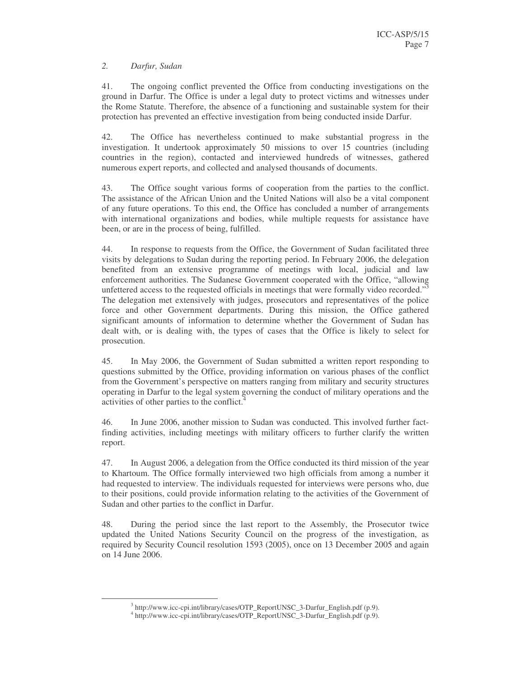#### *2. Darfur, Sudan*

41. The ongoing conflict prevented the Office from conducting investigations on the ground in Darfur. The Office is under a legal duty to protect victims and witnesses under the Rome Statute. Therefore, the absence of a functioning and sustainable system for their protection has prevented an effective investigation from being conducted inside Darfur.

42. The Office has nevertheless continued to make substantial progress in the investigation. It undertook approximately 50 missions to over 15 countries (including countries in the region), contacted and interviewed hundreds of witnesses, gathered numerous expert reports, and collected and analysed thousands of documents.

43. The Office sought various forms of cooperation from the parties to the conflict. The assistance of the African Union and the United Nations will also be a vital component of any future operations. To this end, the Office has concluded a number of arrangements with international organizations and bodies, while multiple requests for assistance have been, or are in the process of being, fulfilled.

44. In response to requests from the Office, the Government of Sudan facilitated three visits by delegations to Sudan during the reporting period. In February 2006, the delegation benefited from an extensive programme of meetings with local, judicial and law enforcement authorities. The Sudanese Government cooperated with the Office, "allowing unfettered access to the requested officials in meetings that were formally video recorded."<sup>3</sup> The delegation met extensively with judges, prosecutors and representatives of the police force and other Government departments. During this mission, the Office gathered significant amounts of information to determine whether the Government of Sudan has dealt with, or is dealing with, the types of cases that the Office is likely to select for prosecution.

45. In May 2006, the Government of Sudan submitted a written report responding to questions submitted by the Office, providing information on various phases of the conflict from the Government's perspective on matters ranging from military and security structures operating in Darfur to the legal system governing the conduct of military operations and the activities of other parties to the conflict.<sup>4</sup>

46. In June 2006, another mission to Sudan was conducted. This involved further factfinding activities, including meetings with military officers to further clarify the written report.

47. In August 2006, a delegation from the Office conducted its third mission of the year to Khartoum. The Office formally interviewed two high officials from among a number it had requested to interview. The individuals requested for interviews were persons who, due to their positions, could provide information relating to the activities of the Government of Sudan and other parties to the conflict in Darfur.

48. During the period since the last report to the Assembly, the Prosecutor twice updated the United Nations Security Council on the progress of the investigation, as required by Security Council resolution 1593 (2005), once on 13 December 2005 and again on 14 June 2006.

<sup>&</sup>lt;sup>3</sup> http://www.icc-cpi.int/library/cases/OTP\_ReportUNSC\_3-Darfur\_English.pdf (p.9).

<sup>4</sup> http://www.icc-cpi.int/library/cases/OTP\_ReportUNSC\_3-Darfur\_English.pdf (p.9).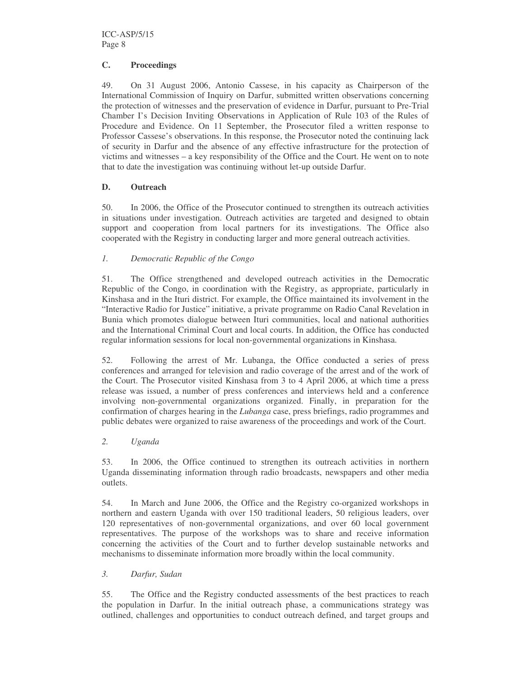#### **C. Proceedings**

49. On 31 August 2006, Antonio Cassese, in his capacity as Chairperson of the International Commission of Inquiry on Darfur, submitted written observations concerning the protection of witnesses and the preservation of evidence in Darfur, pursuant to Pre-Trial Chamber I's Decision Inviting Observations in Application of Rule 103 of the Rules of Procedure and Evidence. On 11 September, the Prosecutor filed a written response to Professor Cassese's observations. In this response, the Prosecutor noted the continuing lack of security in Darfur and the absence of any effective infrastructure for the protection of victims and witnesses – a key responsibility of the Office and the Court. He went on to note that to date the investigation was continuing without let-up outside Darfur.

#### **D. Outreach**

50. In 2006, the Office of the Prosecutor continued to strengthen its outreach activities in situations under investigation. Outreach activities are targeted and designed to obtain support and cooperation from local partners for its investigations. The Office also cooperated with the Registry in conducting larger and more general outreach activities.

## *1. Democratic Republic of the Congo*

51. The Office strengthened and developed outreach activities in the Democratic Republic of the Congo, in coordination with the Registry, as appropriate, particularly in Kinshasa and in the Ituri district. For example, the Office maintained its involvement in the "Interactive Radio for Justice" initiative, a private programme on Radio Canal Revelation in Bunia which promotes dialogue between Ituri communities, local and national authorities and the International Criminal Court and local courts. In addition, the Office has conducted regular information sessions for local non-governmental organizations in Kinshasa.

52. Following the arrest of Mr. Lubanga, the Office conducted a series of press conferences and arranged for television and radio coverage of the arrest and of the work of the Court. The Prosecutor visited Kinshasa from 3 to 4 April 2006, at which time a press release was issued, a number of press conferences and interviews held and a conference involving non-governmental organizations organized. Finally, in preparation for the confirmation of charges hearing in the *Lubanga* case, press briefings, radio programmes and public debates were organized to raise awareness of the proceedings and work of the Court.

#### *2. Uganda*

53. In 2006, the Office continued to strengthen its outreach activities in northern Uganda disseminating information through radio broadcasts, newspapers and other media outlets.

54. In March and June 2006, the Office and the Registry co-organized workshops in northern and eastern Uganda with over 150 traditional leaders, 50 religious leaders, over 120 representatives of non-governmental organizations, and over 60 local government representatives. The purpose of the workshops was to share and receive information concerning the activities of the Court and to further develop sustainable networks and mechanisms to disseminate information more broadly within the local community.

#### *3. Darfur, Sudan*

55. The Office and the Registry conducted assessments of the best practices to reach the population in Darfur. In the initial outreach phase, a communications strategy was outlined, challenges and opportunities to conduct outreach defined, and target groups and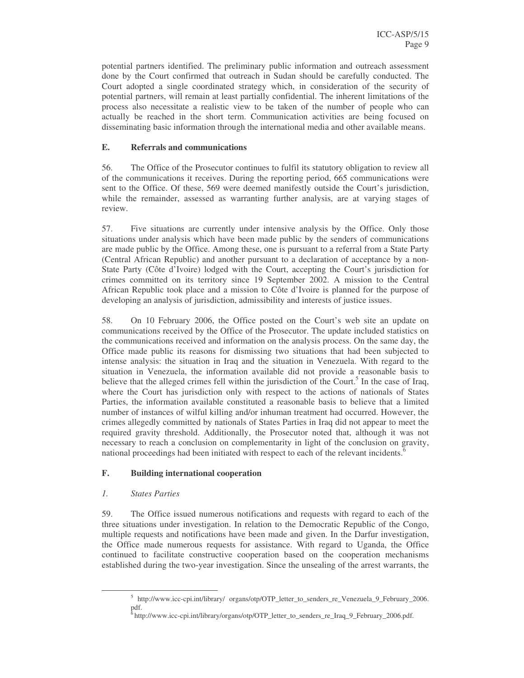potential partners identified. The preliminary public information and outreach assessment done by the Court confirmed that outreach in Sudan should be carefully conducted. The Court adopted a single coordinated strategy which, in consideration of the security of potential partners, will remain at least partially confidential. The inherent limitations of the process also necessitate a realistic view to be taken of the number of people who can actually be reached in the short term. Communication activities are being focused on disseminating basic information through the international media and other available means.

#### **E. Referrals and communications**

56. The Office of the Prosecutor continues to fulfil its statutory obligation to review all of the communications it receives. During the reporting period, 665 communications were sent to the Office. Of these, 569 were deemed manifestly outside the Court's jurisdiction, while the remainder, assessed as warranting further analysis, are at varying stages of review.

57. Five situations are currently under intensive analysis by the Office. Only those situations under analysis which have been made public by the senders of communications are made public by the Office. Among these, one is pursuant to a referral from a State Party (Central African Republic) and another pursuant to a declaration of acceptance by a non-State Party (Côte d'Ivoire) lodged with the Court, accepting the Court's jurisdiction for crimes committed on its territory since 19 September 2002. A mission to the Central African Republic took place and a mission to Côte d'Ivoire is planned for the purpose of developing an analysis of jurisdiction, admissibility and interests of justice issues.

58. On 10 February 2006, the Office posted on the Court's web site an update on communications received by the Office of the Prosecutor. The update included statistics on the communications received and information on the analysis process. On the same day, the Office made public its reasons for dismissing two situations that had been subjected to intense analysis: the situation in Iraq and the situation in Venezuela. With regard to the situation in Venezuela, the information available did not provide a reasonable basis to believe that the alleged crimes fell within the jurisdiction of the Court.<sup>5</sup> In the case of Iraq, where the Court has jurisdiction only with respect to the actions of nationals of States Parties, the information available constituted a reasonable basis to believe that a limited number of instances of wilful killing and/or inhuman treatment had occurred. However, the crimes allegedly committed by nationals of States Parties in Iraq did not appear to meet the required gravity threshold. Additionally, the Prosecutor noted that, although it was not necessary to reach a conclusion on complementarity in light of the conclusion on gravity, national proceedings had been initiated with respect to each of the relevant incidents.<sup>6</sup>

## **F. Building international cooperation**

#### *1. States Parties*

59. The Office issued numerous notifications and requests with regard to each of the three situations under investigation. In relation to the Democratic Republic of the Congo, multiple requests and notifications have been made and given. In the Darfur investigation, the Office made numerous requests for assistance. With regard to Uganda, the Office continued to facilitate constructive cooperation based on the cooperation mechanisms established during the two-year investigation. Since the unsealing of the arrest warrants, the

<sup>&</sup>lt;sup>5</sup> http://www.icc-cpi.int/library/ organs/otp/OTP\_letter\_to\_senders\_re\_Venezuela\_9\_February\_2006. pdf.

<sup>&</sup>lt;sup>6</sup> http://www.icc-cpi.int/library/organs/otp/OTP\_letter\_to\_senders\_re\_Iraq\_9\_February\_2006.pdf.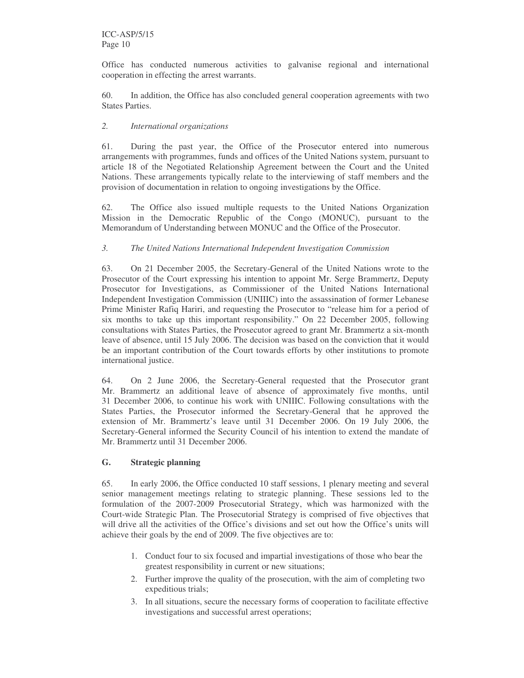Office has conducted numerous activities to galvanise regional and international cooperation in effecting the arrest warrants.

60. In addition, the Office has also concluded general cooperation agreements with two States Parties.

#### *2. International organizations*

61. During the past year, the Office of the Prosecutor entered into numerous arrangements with programmes, funds and offices of the United Nations system, pursuant to article 18 of the Negotiated Relationship Agreement between the Court and the United Nations. These arrangements typically relate to the interviewing of staff members and the provision of documentation in relation to ongoing investigations by the Office.

62. The Office also issued multiple requests to the United Nations Organization Mission in the Democratic Republic of the Congo (MONUC), pursuant to the Memorandum of Understanding between MONUC and the Office of the Prosecutor.

## *3. The United Nations International Independent Investigation Commission*

63. On 21 December 2005, the Secretary-General of the United Nations wrote to the Prosecutor of the Court expressing his intention to appoint Mr. Serge Brammertz, Deputy Prosecutor for Investigations, as Commissioner of the United Nations International Independent Investigation Commission (UNIIIC) into the assassination of former Lebanese Prime Minister Rafiq Hariri, and requesting the Prosecutor to "release him for a period of six months to take up this important responsibility." On 22 December 2005, following consultations with States Parties, the Prosecutor agreed to grant Mr. Brammertz a six-month leave of absence, until 15 July 2006. The decision was based on the conviction that it would be an important contribution of the Court towards efforts by other institutions to promote international justice.

64. On 2 June 2006, the Secretary-General requested that the Prosecutor grant Mr. Brammertz an additional leave of absence of approximately five months, until 31 December 2006, to continue his work with UNIIIC. Following consultations with the States Parties, the Prosecutor informed the Secretary-General that he approved the extension of Mr. Brammertz's leave until 31 December 2006. On 19 July 2006, the Secretary-General informed the Security Council of his intention to extend the mandate of Mr. Brammertz until 31 December 2006.

#### **G. Strategic planning**

65. In early 2006, the Office conducted 10 staff sessions, 1 plenary meeting and several senior management meetings relating to strategic planning. These sessions led to the formulation of the 2007-2009 Prosecutorial Strategy, which was harmonized with the Court-wide Strategic Plan. The Prosecutorial Strategy is comprised of five objectives that will drive all the activities of the Office's divisions and set out how the Office's units will achieve their goals by the end of 2009. The five objectives are to:

- 1. Conduct four to six focused and impartial investigations of those who bear the greatest responsibility in current or new situations;
- 2. Further improve the quality of the prosecution, with the aim of completing two expeditious trials;
- 3. In all situations, secure the necessary forms of cooperation to facilitate effective investigations and successful arrest operations;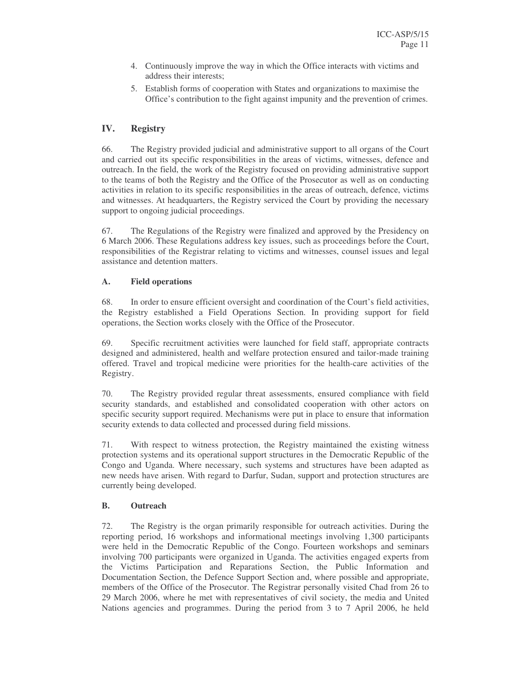- 4. Continuously improve the way in which the Office interacts with victims and address their interests;
- 5. Establish forms of cooperation with States and organizations to maximise the Office's contribution to the fight against impunity and the prevention of crimes.

## **IV. Registry**

66. The Registry provided judicial and administrative support to all organs of the Court and carried out its specific responsibilities in the areas of victims, witnesses, defence and outreach. In the field, the work of the Registry focused on providing administrative support to the teams of both the Registry and the Office of the Prosecutor as well as on conducting activities in relation to its specific responsibilities in the areas of outreach, defence, victims and witnesses. At headquarters, the Registry serviced the Court by providing the necessary support to ongoing judicial proceedings.

67. The Regulations of the Registry were finalized and approved by the Presidency on 6 March 2006. These Regulations address key issues, such as proceedings before the Court, responsibilities of the Registrar relating to victims and witnesses, counsel issues and legal assistance and detention matters.

## **A. Field operations**

68. In order to ensure efficient oversight and coordination of the Court's field activities, the Registry established a Field Operations Section. In providing support for field operations, the Section works closely with the Office of the Prosecutor.

69. Specific recruitment activities were launched for field staff, appropriate contracts designed and administered, health and welfare protection ensured and tailor-made training offered. Travel and tropical medicine were priorities for the health-care activities of the Registry.

70. The Registry provided regular threat assessments, ensured compliance with field security standards, and established and consolidated cooperation with other actors on specific security support required. Mechanisms were put in place to ensure that information security extends to data collected and processed during field missions.

71. With respect to witness protection, the Registry maintained the existing witness protection systems and its operational support structures in the Democratic Republic of the Congo and Uganda. Where necessary, such systems and structures have been adapted as new needs have arisen. With regard to Darfur, Sudan, support and protection structures are currently being developed.

#### **B. Outreach**

72. The Registry is the organ primarily responsible for outreach activities. During the reporting period, 16 workshops and informational meetings involving 1,300 participants were held in the Democratic Republic of the Congo. Fourteen workshops and seminars involving 700 participants were organized in Uganda. The activities engaged experts from the Victims Participation and Reparations Section, the Public Information and Documentation Section, the Defence Support Section and, where possible and appropriate, members of the Office of the Prosecutor. The Registrar personally visited Chad from 26 to 29 March 2006, where he met with representatives of civil society, the media and United Nations agencies and programmes. During the period from 3 to 7 April 2006, he held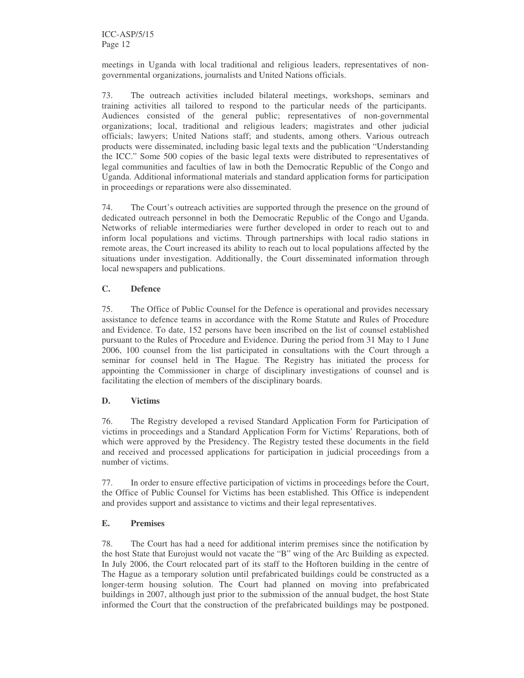meetings in Uganda with local traditional and religious leaders, representatives of nongovernmental organizations, journalists and United Nations officials.

73. The outreach activities included bilateral meetings, workshops, seminars and training activities all tailored to respond to the particular needs of the participants. Audiences consisted of the general public; representatives of non-governmental organizations; local, traditional and religious leaders; magistrates and other judicial officials; lawyers; United Nations staff; and students, among others. Various outreach products were disseminated, including basic legal texts and the publication "Understanding the ICC." Some 500 copies of the basic legal texts were distributed to representatives of legal communities and faculties of law in both the Democratic Republic of the Congo and Uganda. Additional informational materials and standard application forms for participation in proceedings or reparations were also disseminated.

74. The Court's outreach activities are supported through the presence on the ground of dedicated outreach personnel in both the Democratic Republic of the Congo and Uganda. Networks of reliable intermediaries were further developed in order to reach out to and inform local populations and victims. Through partnerships with local radio stations in remote areas, the Court increased its ability to reach out to local populations affected by the situations under investigation. Additionally, the Court disseminated information through local newspapers and publications.

## **C. Defence**

75. The Office of Public Counsel for the Defence is operational and provides necessary assistance to defence teams in accordance with the Rome Statute and Rules of Procedure and Evidence. To date, 152 persons have been inscribed on the list of counsel established pursuant to the Rules of Procedure and Evidence. During the period from 31 May to 1 June 2006, 100 counsel from the list participated in consultations with the Court through a seminar for counsel held in The Hague. The Registry has initiated the process for appointing the Commissioner in charge of disciplinary investigations of counsel and is facilitating the election of members of the disciplinary boards.

#### **D. Victims**

76. The Registry developed a revised Standard Application Form for Participation of victims in proceedings and a Standard Application Form for Victims' Reparations, both of which were approved by the Presidency. The Registry tested these documents in the field and received and processed applications for participation in judicial proceedings from a number of victims.

77. In order to ensure effective participation of victims in proceedings before the Court, the Office of Public Counsel for Victims has been established. This Office is independent and provides support and assistance to victims and their legal representatives.

## **E. Premises**

78. The Court has had a need for additional interim premises since the notification by the host State that Eurojust would not vacate the "B" wing of the Arc Building as expected. In July 2006, the Court relocated part of its staff to the Hoftoren building in the centre of The Hague as a temporary solution until prefabricated buildings could be constructed as a longer-term housing solution. The Court had planned on moving into prefabricated buildings in 2007, although just prior to the submission of the annual budget, the host State informed the Court that the construction of the prefabricated buildings may be postponed.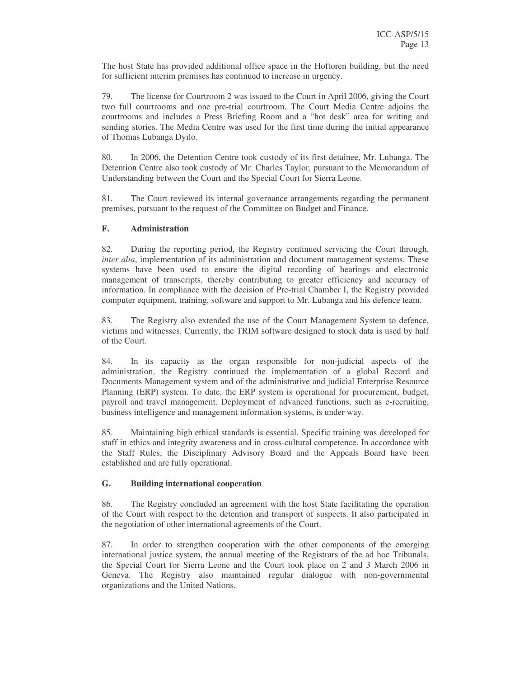The host State has provided additional office space in the Hoftoren building, but the need for sufficient interim premises has continued to increase in urgency.

79. The license for Courtroom 2 was issued to the Court in April 2006, giving the Court two full courtrooms and one pre-trial courtroom. The Court Media Centre adjoins the courtrooms and includes a Press Briefing Room and a "hot desk" area for writing and sending stories. The Media Centre was used for the first time during the initial appearance of Thomas Lubanga Dyilo.

80. In 2006, the Detention Centre took custody of its first detainee, Mr. Lubanga. The Detention Centre also took custody of Mr. Charles Taylor, pursuant to the Memorandum of Understanding between the Court and the Special Court for Sierra Leone.

81. The Court reviewed its internal governance arrangements regarding the permanent premises, pursuant to the request of the Committee on Budget and Finance.

## **F. Administration**

82. During the reporting period, the Registry continued servicing the Court through, *inter alia*, implementation of its administration and document management systems. These systems have been used to ensure the digital recording of hearings and electronic management of transcripts, thereby contributing to greater efficiency and accuracy of information. In compliance with the decision of Pre-trial Chamber I, the Registry provided computer equipment, training, software and support to Mr. Lubanga and his defence team.

83. The Registry also extended the use of the Court Management System to defence, victims and witnesses. Currently, the TRIM software designed to stock data is used by half of the Court.

84. In its capacity as the organ responsible for non-judicial aspects of the administration, the Registry continued the implementation of a global Record and Documents Management system and of the administrative and judicial Enterprise Resource Planning (ERP) system. To date, the ERP system is operational for procurement, budget, payroll and travel management. Deployment of advanced functions, such as e-recruiting, business intelligence and management information systems, is under way.

85. Maintaining high ethical standards is essential. Specific training was developed for staff in ethics and integrity awareness and in cross-cultural competence. In accordance with the Staff Rules, the Disciplinary Advisory Board and the Appeals Board have been established and are fully operational.

#### **G. Building international cooperation**

86. The Registry concluded an agreement with the host State facilitating the operation of the Court with respect to the detention and transport of suspects. It also participated in the negotiation of other international agreements of the Court.

87. In order to strengthen cooperation with the other components of the emerging international justice system, the annual meeting of the Registrars of the ad hoc Tribunals, the Special Court for Sierra Leone and the Court took place on 2 and 3 March 2006 in Geneva. The Registry also maintained regular dialogue with non-governmental organizations and the United Nations.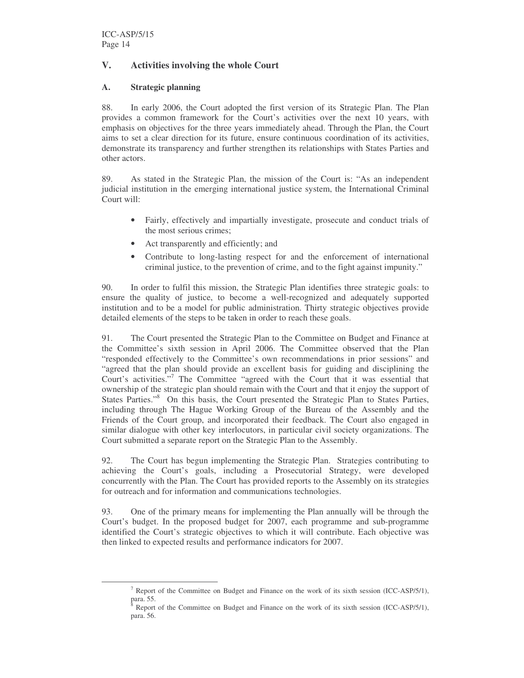## **V. Activities involving the whole Court**

## **A. Strategic planning**

88. In early 2006, the Court adopted the first version of its Strategic Plan. The Plan provides a common framework for the Court's activities over the next 10 years, with emphasis on objectives for the three years immediately ahead. Through the Plan, the Court aims to set a clear direction for its future, ensure continuous coordination of its activities, demonstrate its transparency and further strengthen its relationships with States Parties and other actors.

89. As stated in the Strategic Plan, the mission of the Court is: "As an independent judicial institution in the emerging international justice system, the International Criminal Court will:

- Fairly, effectively and impartially investigate, prosecute and conduct trials of the most serious crimes;
- Act transparently and efficiently; and
- Contribute to long-lasting respect for and the enforcement of international criminal justice, to the prevention of crime, and to the fight against impunity."

90. In order to fulfil this mission, the Strategic Plan identifies three strategic goals: to ensure the quality of justice, to become a well-recognized and adequately supported institution and to be a model for public administration. Thirty strategic objectives provide detailed elements of the steps to be taken in order to reach these goals.

91. The Court presented the Strategic Plan to the Committee on Budget and Finance at the Committee's sixth session in April 2006. The Committee observed that the Plan "responded effectively to the Committee's own recommendations in prior sessions" and "agreed that the plan should provide an excellent basis for guiding and disciplining the Court's activities." <sup>7</sup> The Committee "agreed with the Court that it was essential that ownership of the strategic plan should remain with the Court and that it enjoy the support of States Parties."<sup>8</sup> On this basis, the Court presented the Strategic Plan to States Parties, including through The Hague Working Group of the Bureau of the Assembly and the Friends of the Court group, and incorporated their feedback. The Court also engaged in similar dialogue with other key interlocutors, in particular civil society organizations. The Court submitted a separate report on the Strategic Plan to the Assembly.

92. The Court has begun implementing the Strategic Plan. Strategies contributing to achieving the Court's goals, including a Prosecutorial Strategy, were developed concurrently with the Plan. The Court has provided reports to the Assembly on its strategies for outreach and for information and communications technologies.

93. One of the primary means for implementing the Plan annually will be through the Court's budget. In the proposed budget for 2007, each programme and sub-programme identified the Court's strategic objectives to which it will contribute. Each objective was then linked to expected results and performance indicators for 2007.

<sup>&</sup>lt;sup>7</sup> Report of the Committee on Budget and Finance on the work of its sixth session (ICC-ASP/5/1), para. 55.

Report of the Committee on Budget and Finance on the work of its sixth session (ICC-ASP/5/1), para. 56.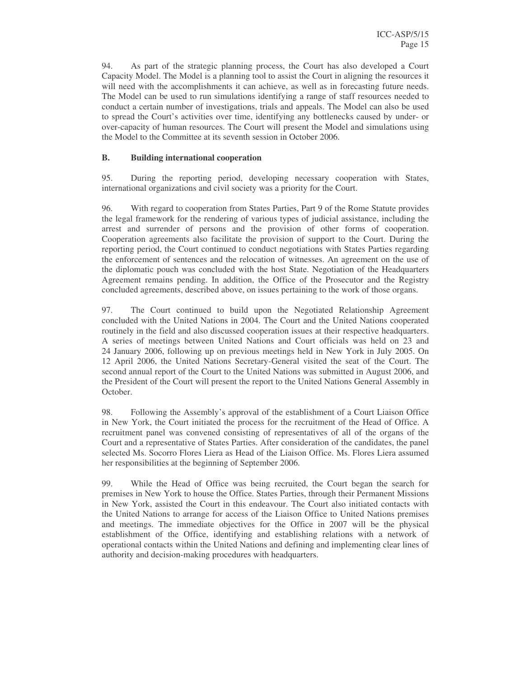94. As part of the strategic planning process, the Court has also developed a Court Capacity Model. The Model is a planning tool to assist the Court in aligning the resources it will need with the accomplishments it can achieve, as well as in forecasting future needs. The Model can be used to run simulations identifying a range of staff resources needed to conduct a certain number of investigations, trials and appeals. The Model can also be used to spread the Court's activities over time, identifying any bottlenecks caused by under- or over-capacity of human resources. The Court will present the Model and simulations using the Model to the Committee at its seventh session in October 2006.

#### **B. Building international cooperation**

95. During the reporting period, developing necessary cooperation with States, international organizations and civil society was a priority for the Court.

96. With regard to cooperation from States Parties, Part 9 of the Rome Statute provides the legal framework for the rendering of various types of judicial assistance, including the arrest and surrender of persons and the provision of other forms of cooperation. Cooperation agreements also facilitate the provision of support to the Court. During the reporting period, the Court continued to conduct negotiations with States Parties regarding the enforcement of sentences and the relocation of witnesses. An agreement on the use of the diplomatic pouch was concluded with the host State. Negotiation of the Headquarters Agreement remains pending. In addition, the Office of the Prosecutor and the Registry concluded agreements, described above, on issues pertaining to the work of those organs.

97. The Court continued to build upon the Negotiated Relationship Agreement concluded with the United Nations in 2004. The Court and the United Nations cooperated routinely in the field and also discussed cooperation issues at their respective headquarters. A series of meetings between United Nations and Court officials was held on 23 and 24 January 2006, following up on previous meetings held in New York in July 2005. On 12 April 2006, the United Nations Secretary-General visited the seat of the Court. The second annual report of the Court to the United Nations was submitted in August 2006, and the President of the Court will present the report to the United Nations General Assembly in October.

98. Following the Assembly's approval of the establishment of a Court Liaison Office in New York, the Court initiated the process for the recruitment of the Head of Office. A recruitment panel was convened consisting of representatives of all of the organs of the Court and a representative of States Parties. After consideration of the candidates, the panel selected Ms. Socorro Flores Liera as Head of the Liaison Office. Ms. Flores Liera assumed her responsibilities at the beginning of September 2006.

99. While the Head of Office was being recruited, the Court began the search for premises in New York to house the Office. States Parties, through their Permanent Missions in New York, assisted the Court in this endeavour. The Court also initiated contacts with the United Nations to arrange for access of the Liaison Office to United Nations premises and meetings. The immediate objectives for the Office in 2007 will be the physical establishment of the Office, identifying and establishing relations with a network of operational contacts within the United Nations and defining and implementing clear lines of authority and decision-making procedures with headquarters.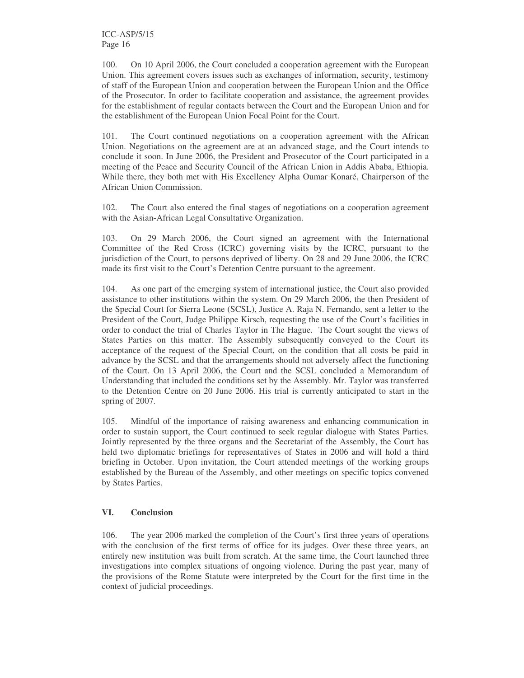100. On 10 April 2006, the Court concluded a cooperation agreement with the European Union. This agreement covers issues such as exchanges of information, security, testimony of staff of the European Union and cooperation between the European Union and the Office of the Prosecutor. In order to facilitate cooperation and assistance, the agreement provides for the establishment of regular contacts between the Court and the European Union and for the establishment of the European Union Focal Point for the Court.

101. The Court continued negotiations on a cooperation agreement with the African Union. Negotiations on the agreement are at an advanced stage, and the Court intends to conclude it soon. In June 2006, the President and Prosecutor of the Court participated in a meeting of the Peace and Security Council of the African Union in Addis Ababa, Ethiopia. While there, they both met with His Excellency Alpha Oumar Konaré, Chairperson of the African Union Commission.

102. The Court also entered the final stages of negotiations on a cooperation agreement with the Asian-African Legal Consultative Organization.

103. On 29 March 2006, the Court signed an agreement with the International Committee of the Red Cross (ICRC) governing visits by the ICRC, pursuant to the jurisdiction of the Court, to persons deprived of liberty. On 28 and 29 June 2006, the ICRC made its first visit to the Court's Detention Centre pursuant to the agreement.

104. As one part of the emerging system of international justice, the Court also provided assistance to other institutions within the system. On 29 March 2006, the then President of the Special Court for Sierra Leone (SCSL), Justice A. Raja N. Fernando, sent a letter to the President of the Court, Judge Philippe Kirsch, requesting the use of the Court's facilities in order to conduct the trial of Charles Taylor in The Hague. The Court sought the views of States Parties on this matter. The Assembly subsequently conveyed to the Court its acceptance of the request of the Special Court, on the condition that all costs be paid in advance by the SCSL and that the arrangements should not adversely affect the functioning of the Court. On 13 April 2006, the Court and the SCSL concluded a Memorandum of Understanding that included the conditions set by the Assembly. Mr. Taylor was transferred to the Detention Centre on 20 June 2006. His trial is currently anticipated to start in the spring of 2007.

105. Mindful of the importance of raising awareness and enhancing communication in order to sustain support, the Court continued to seek regular dialogue with States Parties. Jointly represented by the three organs and the Secretariat of the Assembly, the Court has held two diplomatic briefings for representatives of States in 2006 and will hold a third briefing in October. Upon invitation, the Court attended meetings of the working groups established by the Bureau of the Assembly, and other meetings on specific topics convened by States Parties.

#### **VI. Conclusion**

106. The year 2006 marked the completion of the Court's first three years of operations with the conclusion of the first terms of office for its judges. Over these three years, an entirely new institution was built from scratch. At the same time, the Court launched three investigations into complex situations of ongoing violence. During the past year, many of the provisions of the Rome Statute were interpreted by the Court for the first time in the context of judicial proceedings.